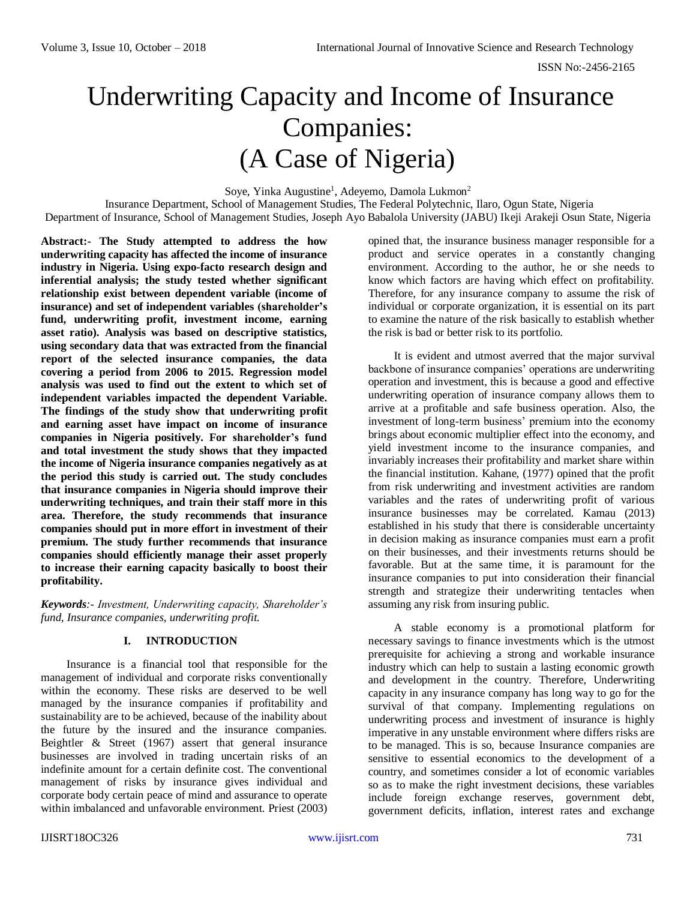# Underwriting Capacity and Income of Insurance Companies: (A Case of Nigeria)

Soye, Yinka Augustine<sup>1</sup>, Adeyemo, Damola Lukmon<sup>2</sup>

Insurance Department, School of Management Studies, The Federal Polytechnic, Ilaro, Ogun State, Nigeria Department of Insurance, School of Management Studies, Joseph Ayo Babalola University (JABU) Ikeji Arakeji Osun State, Nigeria

**Abstract:- The Study attempted to address the how underwriting capacity has affected the income of insurance industry in Nigeria. Using expo-facto research design and inferential analysis; the study tested whether significant relationship exist between dependent variable (income of insurance) and set of independent variables (shareholder's fund, underwriting profit, investment income, earning asset ratio). Analysis was based on descriptive statistics, using secondary data that was extracted from the financial report of the selected insurance companies, the data covering a period from 2006 to 2015. Regression model analysis was used to find out the extent to which set of independent variables impacted the dependent Variable. The findings of the study show that underwriting profit and earning asset have impact on income of insurance companies in Nigeria positively. For shareholder's fund and total investment the study shows that they impacted the income of Nigeria insurance companies negatively as at the period this study is carried out. The study concludes that insurance companies in Nigeria should improve their underwriting techniques, and train their staff more in this area. Therefore, the study recommends that insurance companies should put in more effort in investment of their premium. The study further recommends that insurance companies should efficiently manage their asset properly to increase their earning capacity basically to boost their profitability.**

*Keywords:- Investment, Underwriting capacity, Shareholder's fund, Insurance companies, underwriting profit.*

# **I. INTRODUCTION**

Insurance is a financial tool that responsible for the management of individual and corporate risks conventionally within the economy. These risks are deserved to be well managed by the insurance companies if profitability and sustainability are to be achieved, because of the inability about the future by the insured and the insurance companies. Beightler & Street (1967) assert that general insurance businesses are involved in trading uncertain risks of an indefinite amount for a certain definite cost. The conventional management of risks by insurance gives individual and corporate body certain peace of mind and assurance to operate within imbalanced and unfavorable environment. Priest (2003) opined that, the insurance business manager responsible for a product and service operates in a constantly changing environment. According to the author, he or she needs to know which factors are having which effect on profitability. Therefore, for any insurance company to assume the risk of individual or corporate organization, it is essential on its part to examine the nature of the risk basically to establish whether the risk is bad or better risk to its portfolio.

It is evident and utmost averred that the major survival backbone of insurance companies' operations are underwriting operation and investment, this is because a good and effective underwriting operation of insurance company allows them to arrive at a profitable and safe business operation. Also, the investment of long-term business' premium into the economy brings about economic multiplier effect into the economy, and yield investment income to the insurance companies, and invariably increases their profitability and market share within the financial institution. Kahane, (1977) opined that the profit from risk underwriting and investment activities are random variables and the rates of underwriting profit of various insurance businesses may be correlated. Kamau (2013) established in his study that there is considerable uncertainty in decision making as insurance companies must earn a profit on their businesses, and their investments returns should be favorable. But at the same time, it is paramount for the insurance companies to put into consideration their financial strength and strategize their underwriting tentacles when assuming any risk from insuring public.

A stable economy is a promotional platform for necessary savings to finance investments which is the utmost prerequisite for achieving a strong and workable insurance industry which can help to sustain a lasting economic growth and development in the country. Therefore, Underwriting capacity in any insurance company has long way to go for the survival of that company. Implementing regulations on underwriting process and investment of insurance is highly imperative in any unstable environment where differs risks are to be managed. This is so, because Insurance companies are sensitive to essential economics to the development of a country, and sometimes consider a lot of economic variables so as to make the right investment decisions, these variables include foreign exchange reserves, government debt, government deficits, inflation, interest rates and exchange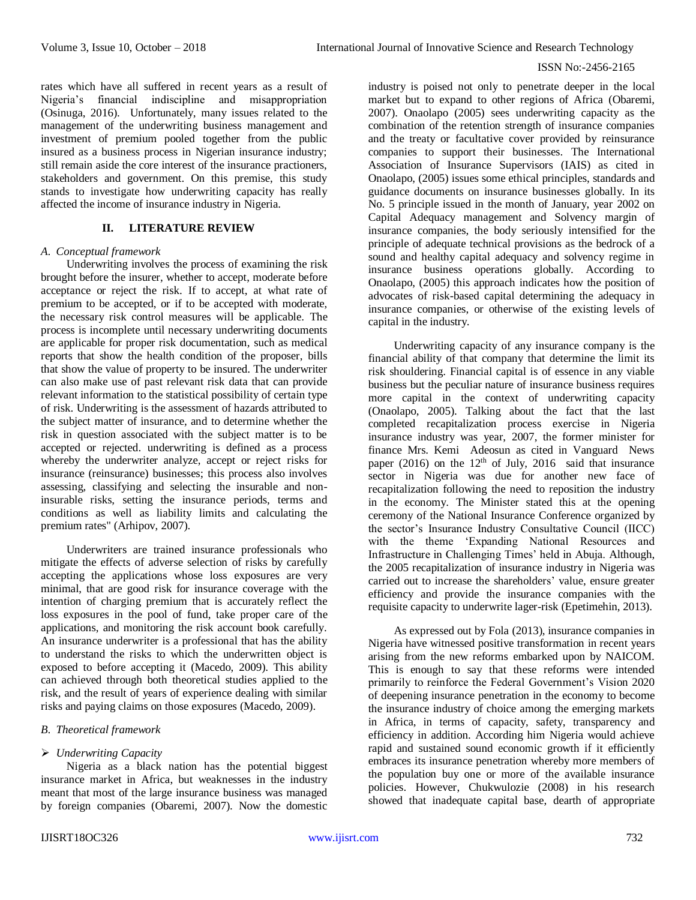rates which have all suffered in recent years as a result of Nigeria's financial indiscipline and misappropriation (Osinuga, 2016). Unfortunately, many issues related to the management of the underwriting business management and investment of premium pooled together from the public insured as a business process in Nigerian insurance industry; still remain aside the core interest of the insurance practioners, stakeholders and government. On this premise, this study stands to investigate how underwriting capacity has really affected the income of insurance industry in Nigeria.

# **II. LITERATURE REVIEW**

#### *A. Conceptual framework*

Underwriting involves the process of examining the risk brought before the insurer, whether to accept, moderate before acceptance or reject the risk. If to accept, at what rate of premium to be accepted, or if to be accepted with moderate, the necessary risk control measures will be applicable. The process is incomplete until necessary underwriting documents are applicable for proper risk documentation, such as medical reports that show the health condition of the proposer, bills that show the value of property to be insured. The underwriter can also make use of past relevant risk data that can provide relevant information to the statistical possibility of certain type of risk. Underwriting is the assessment of hazards attributed to the subject matter of insurance, and to determine whether the risk in question associated with the subject matter is to be accepted or rejected. underwriting is defined as a process whereby the underwriter analyze, accept or reject risks for insurance (reinsurance) businesses; this process also involves assessing, classifying and selecting the insurable and noninsurable risks, setting the insurance periods, terms and conditions as well as liability limits and calculating the premium rates" (Arhipov, 2007).

Underwriters are trained insurance professionals who mitigate the effects of adverse selection of risks by carefully accepting the applications whose loss exposures are very minimal, that are good risk for insurance coverage with the intention of charging premium that is accurately reflect the loss exposures in the pool of fund, take proper care of the applications, and monitoring the risk account book carefully. An insurance underwriter is a professional that has the ability to understand the risks to which the underwritten object is exposed to before accepting it (Macedo, 2009). This ability can achieved through both theoretical studies applied to the risk, and the result of years of experience dealing with similar risks and paying claims on those exposures (Macedo, 2009).

#### *B. Theoretical framework*

#### *Underwriting Capacity*

Nigeria as a black nation has the potential biggest insurance market in Africa, but weaknesses in the industry meant that most of the large insurance business was managed by foreign companies (Obaremi, 2007). Now the domestic industry is poised not only to penetrate deeper in the local market but to expand to other regions of Africa (Obaremi, 2007). Onaolapo (2005) sees underwriting capacity as the combination of the retention strength of insurance companies and the treaty or facultative cover provided by reinsurance companies to support their businesses. The International Association of Insurance Supervisors (IAIS) as cited in Onaolapo, (2005) issues some ethical principles, standards and guidance documents on insurance businesses globally. In its No. 5 principle issued in the month of January, year 2002 on Capital Adequacy management and Solvency margin of insurance companies, the body seriously intensified for the principle of adequate technical provisions as the bedrock of a sound and healthy capital adequacy and solvency regime in insurance business operations globally. According to Onaolapo, (2005) this approach indicates how the position of advocates of risk-based capital determining the adequacy in insurance companies, or otherwise of the existing levels of capital in the industry.

Underwriting capacity of any insurance company is the financial ability of that company that determine the limit its risk shouldering. Financial capital is of essence in any viable business but the peculiar nature of insurance business requires more capital in the context of underwriting capacity (Onaolapo, 2005). Talking about the fact that the last completed recapitalization process exercise in Nigeria insurance industry was year, 2007, the former minister for finance Mrs. Kemi Adeosun as cited in Vanguard News paper (2016) on the  $12<sup>th</sup>$  of July, 2016 said that insurance sector in Nigeria was due for another new face of recapitalization following the need to reposition the industry in the economy. The Minister stated this at the opening ceremony of the National Insurance Conference organized by the sector's Insurance Industry Consultative Council (IICC) with the theme 'Expanding National Resources and Infrastructure in Challenging Times' held in Abuja. Although, the 2005 recapitalization of insurance industry in Nigeria was carried out to increase the shareholders' value, ensure greater efficiency and provide the insurance companies with the requisite capacity to underwrite lager-risk (Epetimehin, 2013).

As expressed out by Fola (2013), insurance companies in Nigeria have witnessed positive transformation in recent years arising from the new reforms embarked upon by NAICOM. This is enough to say that these reforms were intended primarily to reinforce the Federal Government's Vision 2020 of deepening insurance penetration in the economy to become the insurance industry of choice among the emerging markets in Africa, in terms of capacity, safety, transparency and efficiency in addition. According him Nigeria would achieve rapid and sustained sound economic growth if it efficiently embraces its insurance penetration whereby more members of the population buy one or more of the available insurance policies. However, Chukwulozie (2008) in his research showed that inadequate capital base, dearth of appropriate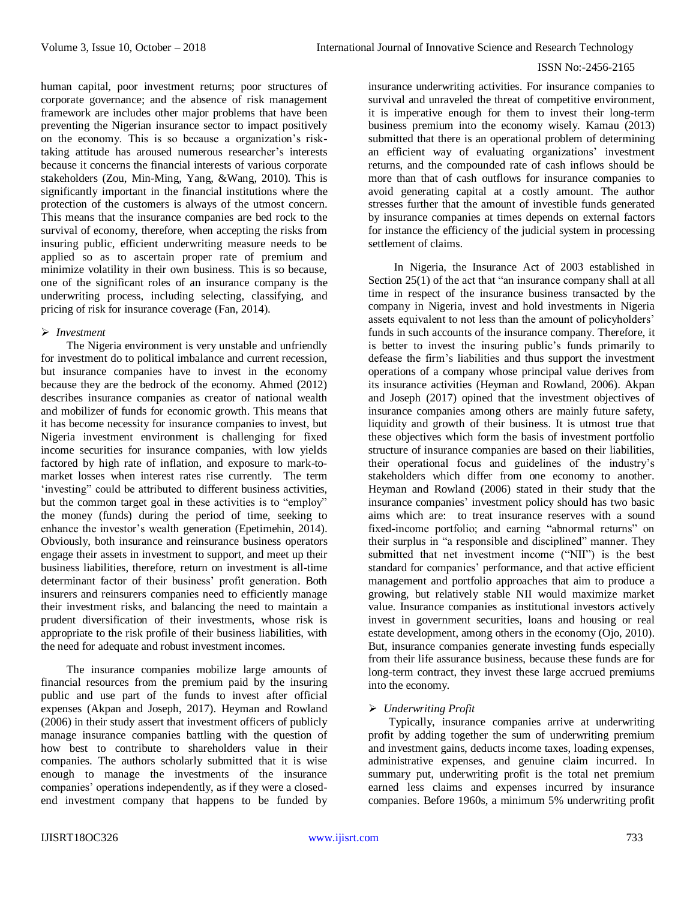human capital, poor investment returns; poor structures of corporate governance; and the absence of risk management framework are includes other major problems that have been preventing the Nigerian insurance sector to impact positively on the economy. This is so because a organization's risktaking attitude has aroused numerous researcher's interests because it concerns the financial interests of various corporate stakeholders (Zou, Min-Ming, Yang, &Wang, 2010). This is significantly important in the financial institutions where the protection of the customers is always of the utmost concern. This means that the insurance companies are bed rock to the survival of economy, therefore, when accepting the risks from insuring public, efficient underwriting measure needs to be applied so as to ascertain proper rate of premium and minimize volatility in their own business. This is so because, one of the significant roles of an insurance company is the underwriting process, including selecting, classifying, and pricing of risk for insurance coverage (Fan, 2014).

#### *Investment*

The Nigeria environment is very unstable and unfriendly for investment do to political imbalance and current recession, but insurance companies have to invest in the economy because they are the bedrock of the economy. Ahmed (2012) describes insurance companies as creator of national wealth and mobilizer of funds for economic growth. This means that it has become necessity for insurance companies to invest, but Nigeria investment environment is challenging for fixed income securities for insurance companies, with low yields factored by high rate of inflation, and exposure to mark-tomarket losses when interest rates rise currently. The term 'investing" could be attributed to different business activities, but the common target goal in these activities is to "employ" the money (funds) during the period of time, seeking to enhance the investor's wealth generation (Epetimehin, 2014). Obviously, both insurance and reinsurance business operators engage their assets in investment to support, and meet up their business liabilities, therefore, return on investment is all-time determinant factor of their business' profit generation. Both insurers and reinsurers companies need to efficiently manage their investment risks, and balancing the need to maintain a prudent diversification of their investments, whose risk is appropriate to the risk profile of their business liabilities, with the need for adequate and robust investment incomes.

The insurance companies mobilize large amounts of financial resources from the premium paid by the insuring public and use part of the funds to invest after official expenses (Akpan and Joseph, 2017). Heyman and Rowland (2006) in their study assert that investment officers of publicly manage insurance companies battling with the question of how best to contribute to shareholders value in their companies. The authors scholarly submitted that it is wise enough to manage the investments of the insurance companies' operations independently, as if they were a closedend investment company that happens to be funded by

insurance underwriting activities. For insurance companies to survival and unraveled the threat of competitive environment, it is imperative enough for them to invest their long-term business premium into the economy wisely. Kamau (2013) submitted that there is an operational problem of determining an efficient way of evaluating organizations' investment returns, and the compounded rate of cash inflows should be more than that of cash outflows for insurance companies to avoid generating capital at a costly amount. The author stresses further that the amount of investible funds generated by insurance companies at times depends on external factors for instance the efficiency of the judicial system in processing settlement of claims.

In Nigeria, the Insurance Act of 2003 established in Section 25(1) of the act that "an insurance company shall at all time in respect of the insurance business transacted by the company in Nigeria, invest and hold investments in Nigeria assets equivalent to not less than the amount of policyholders' funds in such accounts of the insurance company. Therefore, it is better to invest the insuring public's funds primarily to defease the firm's liabilities and thus support the investment operations of a company whose principal value derives from its insurance activities (Heyman and Rowland, 2006). Akpan and Joseph (2017) opined that the investment objectives of insurance companies among others are mainly future safety, liquidity and growth of their business. It is utmost true that these objectives which form the basis of investment portfolio structure of insurance companies are based on their liabilities, their operational focus and guidelines of the industry's stakeholders which differ from one economy to another. Heyman and Rowland (2006) stated in their study that the insurance companies' investment policy should has two basic aims which are: to treat insurance reserves with a sound fixed-income portfolio; and earning "abnormal returns" on their surplus in "a responsible and disciplined" manner. They submitted that net investment income ("NII") is the best standard for companies' performance, and that active efficient management and portfolio approaches that aim to produce a growing, but relatively stable NII would maximize market value. Insurance companies as institutional investors actively invest in government securities, loans and housing or real estate development, among others in the economy (Ojo, 2010). But, insurance companies generate investing funds especially from their life assurance business, because these funds are for long-term contract, they invest these large accrued premiums into the economy.

# *Underwriting Profit*

Typically, insurance companies arrive at underwriting profit by adding together the sum of underwriting premium and investment gains, deducts income taxes, loading expenses, administrative expenses, and genuine claim incurred. In summary put, underwriting profit is the total net premium earned less claims and expenses incurred by insurance companies. Before 1960s, a minimum 5% underwriting profit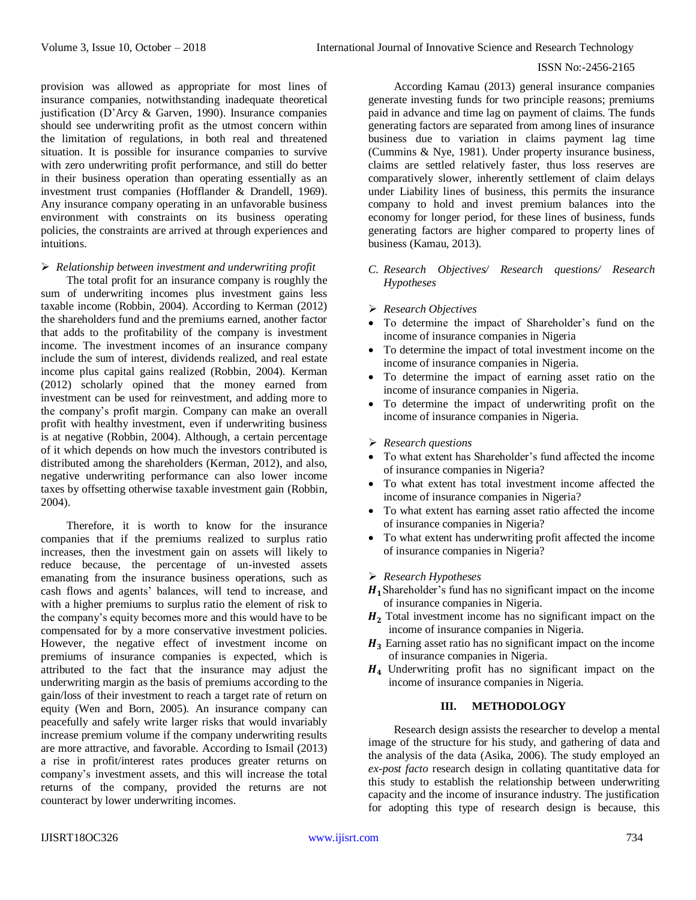provision was allowed as appropriate for most lines of insurance companies, notwithstanding inadequate theoretical justification (D'Arcy & Garven, 1990). Insurance companies should see underwriting profit as the utmost concern within the limitation of regulations, in both real and threatened situation. It is possible for insurance companies to survive with zero underwriting profit performance, and still do better in their business operation than operating essentially as an investment trust companies (Hofflander & Drandell, 1969). Any insurance company operating in an unfavorable business environment with constraints on its business operating policies, the constraints are arrived at through experiences and intuitions.

#### *Relationship between investment and underwriting profit*

The total profit for an insurance company is roughly the sum of underwriting incomes plus investment gains less taxable income (Robbin, 2004). According to Kerman (2012) the shareholders fund and the premiums earned, another factor that adds to the profitability of the company is investment income. The investment incomes of an insurance company include the sum of interest, dividends realized, and real estate income plus capital gains realized (Robbin, 2004). Kerman (2012) scholarly opined that the money earned from investment can be used for reinvestment, and adding more to the company's profit margin. Company can make an overall profit with healthy investment, even if underwriting business is at negative (Robbin, 2004). Although, a certain percentage of it which depends on how much the investors contributed is distributed among the shareholders (Kerman, 2012), and also, negative underwriting performance can also lower income taxes by offsetting otherwise taxable investment gain (Robbin, 2004).

Therefore, it is worth to know for the insurance companies that if the premiums realized to surplus ratio increases, then the investment gain on assets will likely to reduce because, the percentage of un-invested assets emanating from the insurance business operations, such as cash flows and agents' balances, will tend to increase, and with a higher premiums to surplus ratio the element of risk to the company's equity becomes more and this would have to be compensated for by a more conservative investment policies. However, the negative effect of investment income on premiums of insurance companies is expected, which is attributed to the fact that the insurance may adjust the underwriting margin as the basis of premiums according to the gain/loss of their investment to reach a target rate of return on equity (Wen and Born, 2005). An insurance company can peacefully and safely write larger risks that would invariably increase premium volume if the company underwriting results are more attractive, and favorable. According to Ismail (2013) a rise in profit/interest rates produces greater returns on company's investment assets, and this will increase the total returns of the company, provided the returns are not counteract by lower underwriting incomes.

According Kamau (2013) general insurance companies generate investing funds for two principle reasons; premiums paid in advance and time lag on payment of claims. The funds generating factors are separated from among lines of insurance business due to variation in claims payment lag time (Cummins & Nye, 1981). Under property insurance business, claims are settled relatively faster, thus loss reserves are comparatively slower, inherently settlement of claim delays under Liability lines of business, this permits the insurance company to hold and invest premium balances into the economy for longer period, for these lines of business, funds generating factors are higher compared to property lines of business (Kamau, 2013).

- *C. Research Objectives/ Research questions/ Research Hypotheses*
- *Research Objectives*
- To determine the impact of Shareholder's fund on the income of insurance companies in Nigeria
- To determine the impact of total investment income on the income of insurance companies in Nigeria.
- To determine the impact of earning asset ratio on the income of insurance companies in Nigeria.
- To determine the impact of underwriting profit on the income of insurance companies in Nigeria.

### *Research questions*

- To what extent has Shareholder's fund affected the income of insurance companies in Nigeria?
- To what extent has total investment income affected the income of insurance companies in Nigeria?
- To what extent has earning asset ratio affected the income of insurance companies in Nigeria?
- To what extent has underwriting profit affected the income of insurance companies in Nigeria?

#### *Research Hypotheses*

- $H_1$ Shareholder's fund has no significant impact on the income of insurance companies in Nigeria.
- $H<sub>2</sub>$  Total investment income has no significant impact on the income of insurance companies in Nigeria.
- $H_3$  Earning asset ratio has no significant impact on the income of insurance companies in Nigeria.
- $H<sub>4</sub>$  Underwriting profit has no significant impact on the income of insurance companies in Nigeria.

# **III. METHODOLOGY**

Research design assists the researcher to develop a mental image of the structure for his study, and gathering of data and the analysis of the data (Asika, 2006). The study employed an *ex-post facto* research design in collating quantitative data for this study to establish the relationship between underwriting capacity and the income of insurance industry. The justification for adopting this type of research design is because, this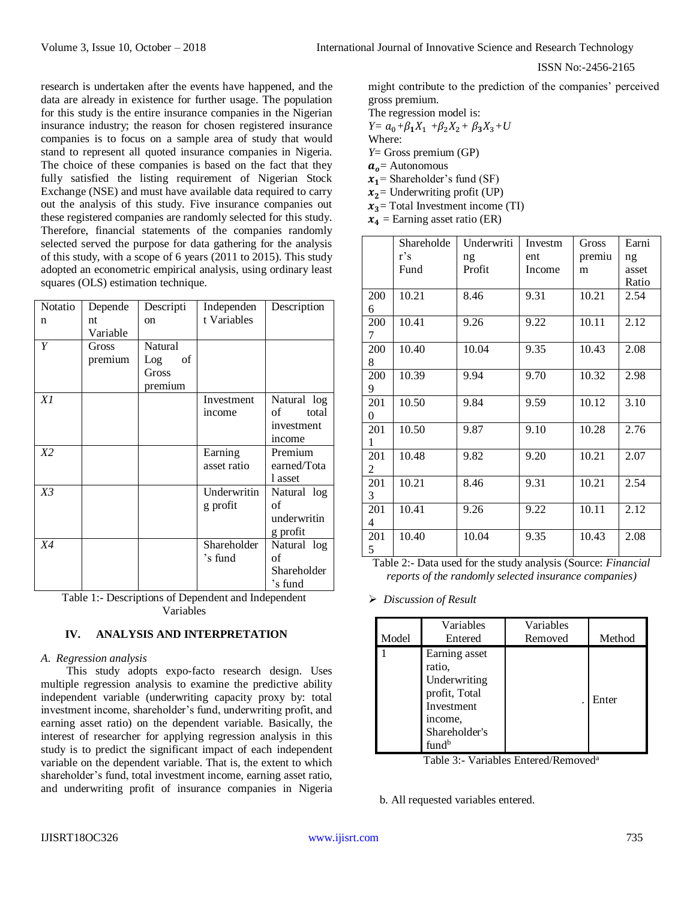research is undertaken after the events have happened, and the data are already in existence for further usage. The population for this study is the entire insurance companies in the Nigerian insurance industry; the reason for chosen registered insurance companies is to focus on a sample area of study that would stand to represent all quoted insurance companies in Nigeria. The choice of these companies is based on the fact that they fully satisfied the listing requirement of Nigerian Stock Exchange (NSE) and must have available data required to carry out the analysis of this study. Five insurance companies out these registered companies are randomly selected for this study. Therefore, financial statements of the companies randomly selected served the purpose for data gathering for the analysis of this study, with a scope of 6 years (2011 to 2015). This study adopted an econometric empirical analysis, using ordinary least squares (OLS) estimation technique.

| Notatio | Depende  | Descripti      | Independen  | Description |
|---------|----------|----------------|-------------|-------------|
| n       | nt       | <sub>on</sub>  | t Variables |             |
|         | Variable |                |             |             |
| Y       | Gross    | <b>Natural</b> |             |             |
|         | premium  | of<br>Log      |             |             |
|         |          | Gross          |             |             |
|         |          | premium        |             |             |
| X1      |          |                | Investment  | Natural log |
|         |          |                | income      | of<br>total |
|         |          |                |             | investment  |
|         |          |                |             | income      |
| X2      |          |                | Earning     | Premium     |
|         |          |                | asset ratio | earned/Tota |
|         |          |                |             | 1 asset     |
| $X_3^2$ |          |                | Underwritin | Natural log |
|         |          |                | g profit    | of          |
|         |          |                |             | underwritin |
|         |          |                |             | g profit    |
| X4      |          |                | Shareholder | Natural log |
|         |          |                | 's fund     | of          |
|         |          |                |             | Shareholder |
|         |          |                |             | 's fund     |

Table 1:- Descriptions of Dependent and Independent Variables

# **IV. ANALYSIS AND INTERPRETATION**

# *A. Regression analysis*

This study adopts expo-facto research design. Uses multiple regression analysis to examine the predictive ability independent variable (underwriting capacity proxy by: total investment income, shareholder's fund, underwriting profit, and earning asset ratio) on the dependent variable. Basically, the interest of researcher for applying regression analysis in this study is to predict the significant impact of each independent variable on the dependent variable. That is, the extent to which shareholder's fund, total investment income, earning asset ratio, and underwriting profit of insurance companies in Nigeria might contribute to the prediction of the companies' perceived gross premium.

The regression model is: *Y*=  $a_0 + \beta_1 X_1 + \beta_2 X_2 + \beta_3 X_3 + U$ Where:

*Y*= Gross premium (GP)

 $a<sub>o</sub>$  = Autonomous

 $x_1$ = Shareholder's fund (SF)

 $x_2$  Underwriting profit (UP)

 $x_3$ = Total Investment income (TI)

 $x_4$  = Earning asset ratio (ER)

|     | Shareholde | Underwriti | Investm | Gross  | Earni |
|-----|------------|------------|---------|--------|-------|
|     | r's        | ng         | ent     | premiu | ng    |
|     | Fund       | Profit     | Income  | m      | asset |
|     |            |            |         |        | Ratio |
| 200 | 10.21      | 8.46       | 9.31    | 10.21  | 2.54  |
| 6   |            |            |         |        |       |
| 200 | 10.41      | 9.26       | 9.22    | 10.11  | 2.12  |
| 7   |            |            |         |        |       |
| 200 | 10.40      | 10.04      | 9.35    | 10.43  | 2.08  |
| 8   |            |            |         |        |       |
| 200 | 10.39      | 9.94       | 9.70    | 10.32  | 2.98  |
| 9   |            |            |         |        |       |
| 201 | 10.50      | 9.84       | 9.59    | 10.12  | 3.10  |
| 0   |            |            |         |        |       |
| 201 | 10.50      | 9.87       | 9.10    | 10.28  | 2.76  |
| 1   |            |            |         |        |       |
| 201 | 10.48      | 9.82       | 9.20    | 10.21  | 2.07  |
| 2   |            |            |         |        |       |
| 201 | 10.21      | 8.46       | 9.31    | 10.21  | 2.54  |
| 3   |            |            |         |        |       |
| 201 | 10.41      | 9.26       | 9.22    | 10.11  | 2.12  |
| 4   |            |            |         |        |       |
| 201 | 10.40      | 10.04      | 9.35    | 10.43  | 2.08  |
| 5   |            |            |         |        |       |

Table 2:- Data used for the study analysis (Source: *Financial reports of the randomly selected insurance companies)*

*Discussion of Result*

| Model | Variables<br>Entered                                                                                                    | Variables<br>Removed | Method |
|-------|-------------------------------------------------------------------------------------------------------------------------|----------------------|--------|
|       | Earning asset<br>ratio,<br>Underwriting<br>profit, Total<br>Investment<br>income,<br>Shareholder's<br>fund <sup>b</sup> |                      | Enter  |

Table 3:- Variables Entered/Removed<sup>a</sup>

b. All requested variables entered.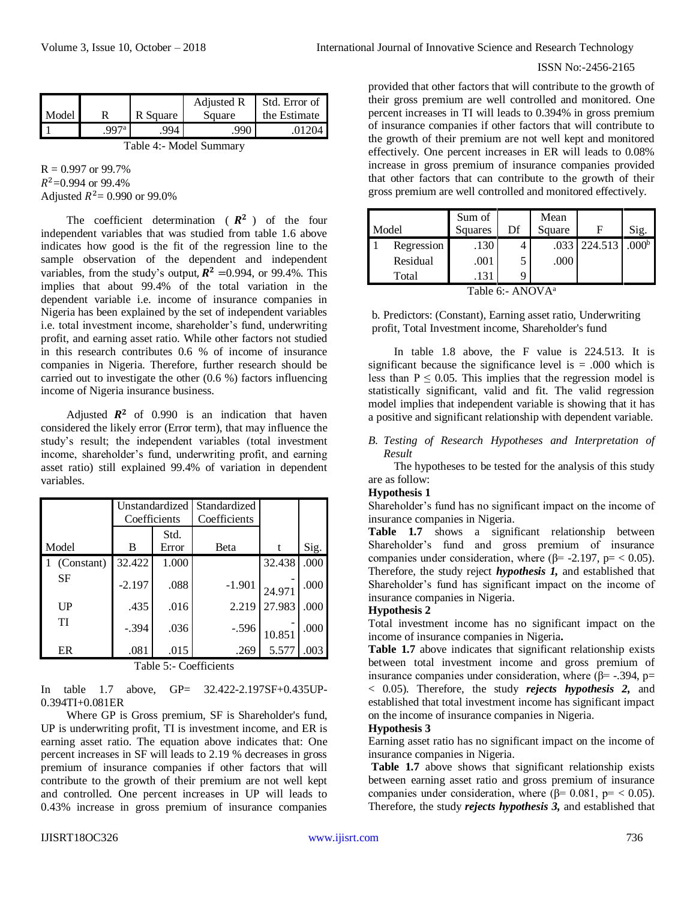| Model                   |      | R Square | Adjusted R<br>Square | Std. Error of<br>the Estimate |  |  |
|-------------------------|------|----------|----------------------|-------------------------------|--|--|
|                         | 997a | .994     | .990                 | .01204                        |  |  |
| Table 4:- Model Summary |      |          |                      |                               |  |  |

 $R = 0.997$  or 99.7%  $R^2$ =0.994 or 99.4% Adjusted  $R^2 = 0.990$  or 99.0%

The coefficient determination ( $\mathbb{R}^2$ ) of the four independent variables that was studied from table 1.6 above indicates how good is the fit of the regression line to the sample observation of the dependent and independent variables, from the study's output,  $R^2$  =0.994, or 99.4%. This implies that about 99.4% of the total variation in the dependent variable i.e. income of insurance companies in Nigeria has been explained by the set of independent variables i.e. total investment income, shareholder's fund, underwriting profit, and earning asset ratio. While other factors not studied in this research contributes 0.6 % of income of insurance companies in Nigeria. Therefore, further research should be carried out to investigate the other (0.6 %) factors influencing income of Nigeria insurance business.

Adjusted  $\mathbb{R}^2$  of 0.990 is an indication that haven considered the likely error (Error term), that may influence the study's result; the independent variables (total investment income, shareholder's fund, underwriting profit, and earning asset ratio) still explained 99.4% of variation in dependent variables.

|                | Unstandardized |       | Standardized |        |      |
|----------------|----------------|-------|--------------|--------|------|
|                | Coefficients   |       | Coefficients |        |      |
|                |                | Std.  |              |        |      |
| Model          | В              | Error | Beta         | t      | Sig. |
| (Constant)     | 32.422         | 1.000 |              | 32.438 | .000 |
| SF             | $-2.197$       | .088  | $-1.901$     | 24.971 | .000 |
| $_{\text{UP}}$ | .435           | .016  | 2.219        | 27.983 | .000 |
| TI             | $-.394$        | .036  | $-.596$      | 10.851 | .000 |
| ER             | .081           | .015  | .269         | 5.577  | .003 |

Table 5:- Coefficients

In table 1.7 above, GP= 32.422-2.197SF+0.435UP-0.394TI+0.081ER

Where GP is Gross premium, SF is Shareholder's fund, UP is underwriting profit, TI is investment income, and ER is earning asset ratio. The equation above indicates that: One percent increases in SF will leads to 2.19 % decreases in gross premium of insurance companies if other factors that will contribute to the growth of their premium are not well kept and controlled. One percent increases in UP will leads to 0.43% increase in gross premium of insurance companies

provided that other factors that will contribute to the growth of their gross premium are well controlled and monitored. One percent increases in TI will leads to 0.394% in gross premium of insurance companies if other factors that will contribute to the growth of their premium are not well kept and monitored effectively. One percent increases in ER will leads to 0.08% increase in gross premium of insurance companies provided that other factors that can contribute to the growth of their gross premium are well controlled and monitored effectively.

| Model |            | Sum of<br>Squares | Df | Mean<br>Square |         | Sig.              |
|-------|------------|-------------------|----|----------------|---------|-------------------|
|       | Regression | .130              |    | .033           | 224.513 | .000 <sup>b</sup> |
|       | Residual   | .001              | 5  | .000           |         |                   |
|       | Total      | .131              | Q  |                |         |                   |

b. Predictors: (Constant), Earning asset ratio, Underwriting profit, Total Investment income, Shareholder's fund

In table 1.8 above, the F value is 224.513. It is significant because the significance level is  $= .000$  which is less than  $P \le 0.05$ . This implies that the regression model is statistically significant, valid and fit. The valid regression model implies that independent variable is showing that it has a positive and significant relationship with dependent variable.

*B. Testing of Research Hypotheses and Interpretation of Result*

The hypotheses to be tested for the analysis of this study are as follow:

# **Hypothesis 1**

Shareholder's fund has no significant impact on the income of insurance companies in Nigeria.

**Table 1.7** shows a significant relationship between Shareholder's fund and gross premium of insurance companies under consideration, where ( $\beta$ = -2.197,  $p$ = < 0.05). Therefore, the study reject *hypothesis 1,* and established that Shareholder's fund has significant impact on the income of insurance companies in Nigeria.

### **Hypothesis 2**

Total investment income has no significant impact on the income of insurance companies in Nigeria**.**

**Table 1.7** above indicates that significant relationship exists between total investment income and gross premium of insurance companies under consideration, where ( $\beta$ = -.394, p= < 0.05). Therefore, the study *rejects hypothesis 2,* and established that total investment income has significant impact on the income of insurance companies in Nigeria.

## **Hypothesis 3**

Earning asset ratio has no significant impact on the income of insurance companies in Nigeria.

**Table 1.7** above shows that significant relationship exists between earning asset ratio and gross premium of insurance companies under consideration, where ( $β = 0.081$ ,  $p = < 0.05$ ). Therefore, the study *rejects hypothesis 3,* and established that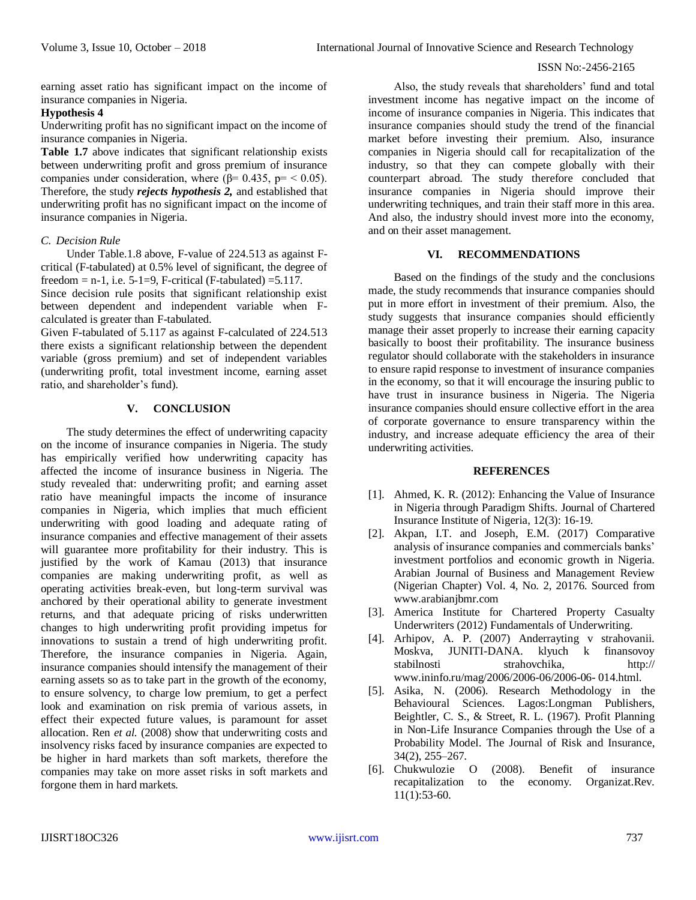earning asset ratio has significant impact on the income of insurance companies in Nigeria.

# **Hypothesis 4**

Underwriting profit has no significant impact on the income of insurance companies in Nigeria.

**Table 1.7** above indicates that significant relationship exists between underwriting profit and gross premium of insurance companies under consideration, where ( $\beta$ = 0.435, p= < 0.05). Therefore, the study *rejects hypothesis 2,* and established that underwriting profit has no significant impact on the income of insurance companies in Nigeria.

# *C. Decision Rule*

Under Table.1.8 above, F-value of 224.513 as against Fcritical (F-tabulated) at 0.5% level of significant, the degree of freedom = n-1, i.e.  $5$ -1=9, F-critical (F-tabulated) = 5.117.

Since decision rule posits that significant relationship exist between dependent and independent variable when Fcalculated is greater than F-tabulated.

Given F-tabulated of 5.117 as against F-calculated of 224.513 there exists a significant relationship between the dependent variable (gross premium) and set of independent variables (underwriting profit, total investment income, earning asset ratio, and shareholder's fund).

# **V. CONCLUSION**

The study determines the effect of underwriting capacity on the income of insurance companies in Nigeria. The study has empirically verified how underwriting capacity has affected the income of insurance business in Nigeria. The study revealed that: underwriting profit; and earning asset ratio have meaningful impacts the income of insurance companies in Nigeria, which implies that much efficient underwriting with good loading and adequate rating of insurance companies and effective management of their assets will guarantee more profitability for their industry. This is justified by the work of Kamau (2013) that insurance companies are making underwriting profit, as well as operating activities break-even, but long-term survival was anchored by their operational ability to generate investment returns, and that adequate pricing of risks underwritten changes to high underwriting profit providing impetus for innovations to sustain a trend of high underwriting profit. Therefore, the insurance companies in Nigeria. Again, insurance companies should intensify the management of their earning assets so as to take part in the growth of the economy, to ensure solvency, to charge low premium, to get a perfect look and examination on risk premia of various assets, in effect their expected future values, is paramount for asset allocation. Ren *et al.* (2008) show that underwriting costs and insolvency risks faced by insurance companies are expected to be higher in hard markets than soft markets, therefore the companies may take on more asset risks in soft markets and forgone them in hard markets.

Also, the study reveals that shareholders' fund and total investment income has negative impact on the income of income of insurance companies in Nigeria. This indicates that insurance companies should study the trend of the financial market before investing their premium. Also, insurance companies in Nigeria should call for recapitalization of the industry, so that they can compete globally with their counterpart abroad. The study therefore concluded that insurance companies in Nigeria should improve their underwriting techniques, and train their staff more in this area. And also, the industry should invest more into the economy, and on their asset management.

# **VI. RECOMMENDATIONS**

Based on the findings of the study and the conclusions made, the study recommends that insurance companies should put in more effort in investment of their premium. Also, the study suggests that insurance companies should efficiently manage their asset properly to increase their earning capacity basically to boost their profitability. The insurance business regulator should collaborate with the stakeholders in insurance to ensure rapid response to investment of insurance companies in the economy, so that it will encourage the insuring public to have trust in insurance business in Nigeria. The Nigeria insurance companies should ensure collective effort in the area of corporate governance to ensure transparency within the industry, and increase adequate efficiency the area of their underwriting activities.

# **REFERENCES**

- [1]. Ahmed, K. R. (2012): Enhancing the Value of Insurance in Nigeria through Paradigm Shifts. Journal of Chartered Insurance Institute of Nigeria, 12(3): 16-19.
- [2]. Akpan, I.T. and Joseph, E.M. (2017) Comparative analysis of insurance companies and commercials banks' investment portfolios and economic growth in Nigeria. Arabian Journal of Business and Management Review (Nigerian Chapter) Vol. 4, No. 2, 20176. Sourced from [www.arabianjbmr.com](http://www.arabianjbmr.com/)
- [3]. America Institute for Chartered Property Casualty Underwriters (2012) Fundamentals of Underwriting.
- [4]. Arhipov, A. P. (2007) Anderrayting v strahovanii. Moskva, JUNITI-DANA. klyuch k finansovoy stabilnosti strahovchika, http:// [www.ininfo.ru/mag/2006/2006-06/2006-06-](http://www.ininfo.ru/mag/2006/2006-06/2006-06-%20014.html) 014.html.
- [5]. Asika, N. (2006). Research Methodology in the Behavioural Sciences. Lagos:Longman Publishers, Beightler, C. S., & Street, R. L. (1967). Profit Planning in Non-Life Insurance Companies through the Use of a Probability Model. The Journal of Risk and Insurance, 34(2), 255–267.
- [6]. Chukwulozie O (2008). Benefit of insurance recapitalization to the economy. Organizat.Rev. 11(1):53-60.